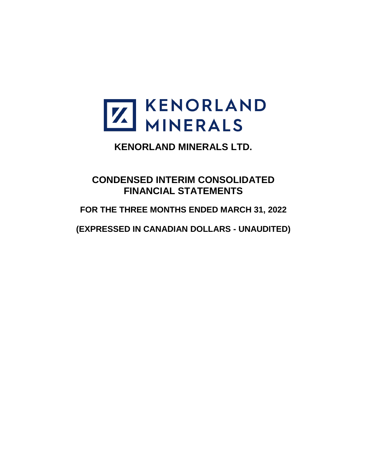

**CONDENSED INTERIM CONSOLIDATED FINANCIAL STATEMENTS**

**FOR THE THREE MONTHS ENDED MARCH 31, 2022**

**(EXPRESSED IN CANADIAN DOLLARS - UNAUDITED)**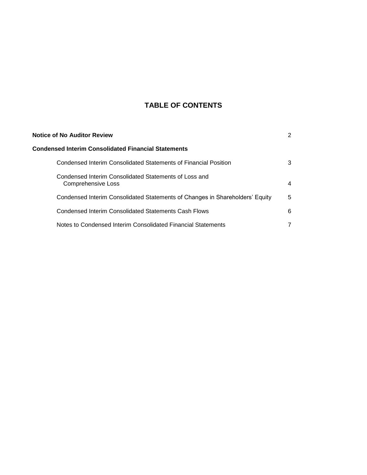# **TABLE OF CONTENTS**

| <b>Notice of No Auditor Review</b> |                                                                              | 2 |
|------------------------------------|------------------------------------------------------------------------------|---|
|                                    | Condensed Interim Consolidated Financial Statements                          |   |
|                                    | Condensed Interim Consolidated Statements of Financial Position              | 3 |
|                                    | Condensed Interim Consolidated Statements of Loss and<br>Comprehensive Loss  | 4 |
|                                    | Condensed Interim Consolidated Statements of Changes in Shareholders' Equity | 5 |
|                                    | Condensed Interim Consolidated Statements Cash Flows                         | 6 |
|                                    | Notes to Condensed Interim Consolidated Financial Statements                 |   |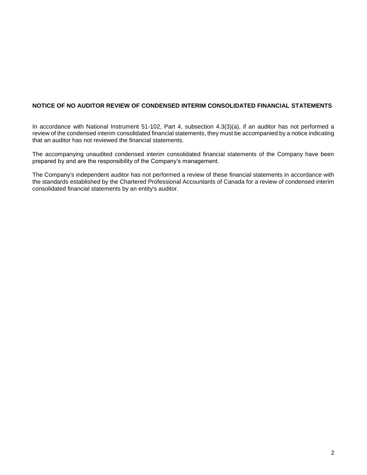# **NOTICE OF NO AUDITOR REVIEW OF CONDENSED INTERIM CONSOLIDATED FINANCIAL STATEMENTS**

In accordance with National Instrument 51-102, Part 4, subsection 4.3(3)(a), if an auditor has not performed a review of the condensed interim consolidated financial statements, they must be accompanied by a notice indicating that an auditor has not reviewed the financial statements.

The accompanying unaudited condensed interim consolidated financial statements of the Company have been prepared by and are the responsibility of the Company's management.

The Company's independent auditor has not performed a review of these financial statements in accordance with the standards established by the Chartered Professional Accountants of Canada for a review of condensed interim consolidated financial statements by an entity's auditor.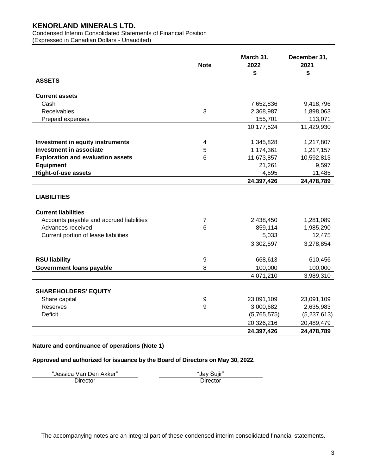Condensed Interim Consolidated Statements of Financial Position (Expressed in Canadian Dollars - Unaudited)

|                                          | <b>Note</b> | March 31,<br>2022 | December 31,<br>2021 |
|------------------------------------------|-------------|-------------------|----------------------|
|                                          |             | \$                | \$                   |
| <b>ASSETS</b>                            |             |                   |                      |
| <b>Current assets</b>                    |             |                   |                      |
| Cash                                     |             | 7,652,836         | 9,418,796            |
| <b>Receivables</b>                       | 3           | 2,368,987         | 1,898,063            |
| Prepaid expenses                         |             | 155,701           | 113,071              |
|                                          |             | 10,177,524        | 11,429,930           |
| <b>Investment in equity instruments</b>  | 4           | 1,345,828         | 1,217,807            |
| <b>Investment in associate</b>           | 5           | 1,174,361         | 1,217,157            |
| <b>Exploration and evaluation assets</b> | 6           | 11,673,857        | 10,592,813           |
| <b>Equipment</b>                         |             | 21,261            | 9,597                |
| <b>Right-of-use assets</b>               |             | 4,595             | 11,485               |
|                                          |             | 24,397,426        | 24,478,789           |
| <b>LIABILITIES</b>                       |             |                   |                      |
| <b>Current liabilities</b>               |             |                   |                      |
| Accounts payable and accrued liabilities | 7           | 2,438,450         | 1,281,089            |
| Advances received                        | 6           | 859,114           | 1,985,290            |
| Current portion of lease liabilities     |             | 5,033             | 12,475               |
|                                          |             | 3,302,597         | 3,278,854            |
| <b>RSU liability</b>                     | 9           | 668,613           | 610,456              |
| <b>Government loans payable</b>          | 8           | 100,000           | 100,000              |
|                                          |             | 4,071,210         | 3,989,310            |
| <b>SHAREHOLDERS' EQUITY</b>              |             |                   |                      |
| Share capital                            | 9           | 23,091,109        | 23,091,109           |
| <b>Reserves</b>                          | 9           | 3,000,682         | 2,635,983            |
| Deficit                                  |             | (5,765,575)       | (5,237,613)          |
|                                          |             | 20,326,216        | 20,489,479           |
|                                          |             | 24,397,426        | 24,478,789           |

# **Nature and continuance of operations (Note 1)**

# **Approved and authorized for issuance by the Board of Directors on May 30, 2022.**

"Jessica Van Den Akker" "Jay Sujir" Director

The accompanying notes are an integral part of these condensed interim consolidated financial statements.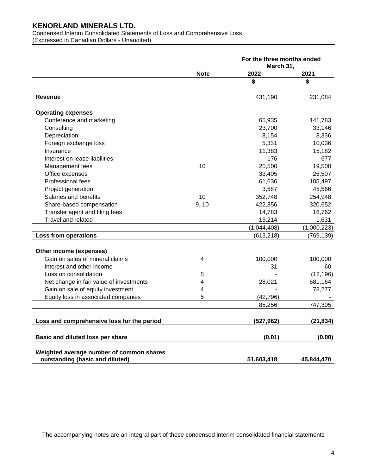Condensed Interim Consolidated Statements of Loss and Comprehensive Loss (Expressed in Canadian Dollars - Unaudited)

|                                                                             |             | For the three months ended<br>March 31, |             |
|-----------------------------------------------------------------------------|-------------|-----------------------------------------|-------------|
|                                                                             | <b>Note</b> | 2022                                    | 2021        |
|                                                                             |             | \$                                      | \$          |
| Revenue                                                                     |             | 431,190                                 | 231,084     |
| <b>Operating expenses</b>                                                   |             |                                         |             |
| Conference and marketing                                                    |             | 65,935                                  | 141,783     |
| Consulting                                                                  |             | 23,700                                  | 33,146      |
| Depreciation                                                                |             | 8,154                                   | 8,336       |
| Foreign exchange loss                                                       |             | 5,331                                   | 10,036      |
| Insurance                                                                   |             | 11,383                                  | 15,182      |
| Interest on lease liabilities                                               |             | 176                                     | 677         |
| Management fees                                                             | 10          | 25,500                                  | 19,500      |
| Office expenses                                                             |             | 33,405                                  | 26,507      |
| Professional fees                                                           |             | 61,636                                  | 105,497     |
| Project generation                                                          |             | 3,587                                   | 45,566      |
| Salaries and benefits                                                       | 10          | 352,748                                 | 254,948     |
| Share-based compensation                                                    | 9, 10       | 422,856                                 | 320,652     |
| Transfer agent and filing fees                                              |             | 14,783                                  | 16,762      |
| Travel and related                                                          |             | 15,214                                  | 1,631       |
|                                                                             |             | (1,044,408)                             | (1,000,223) |
| Loss from operations                                                        |             | (613, 218)                              | (769, 139)  |
| Other income (expenses)                                                     |             |                                         |             |
| Gain on sales of mineral claims                                             | 4           | 100,000                                 | 100,000     |
| Interest and other income                                                   |             | 31                                      | 60          |
| Loss on consolidation                                                       | 5           |                                         | (12, 196)   |
| Net change in fair value of investments                                     | 4           | 28,021                                  | 581,164     |
| Gain on sale of equity investment                                           | 4           |                                         | 78,277      |
| Equity loss in associated companies                                         | 5           | (42, 796)                               |             |
|                                                                             |             | 85,256                                  | 747,305     |
| Loss and comprehensive loss for the period                                  |             | (527, 962)                              | (21, 834)   |
| Basic and diluted loss per share                                            |             | (0.01)                                  | (0.00)      |
| Weighted average number of common shares<br>outstanding (basic and diluted) |             | 51,603,418                              | 45,844,470  |

The accompanying notes are an integral part of these condensed interim consolidated financial statements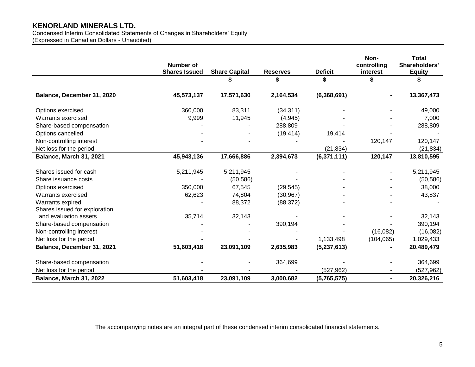Condensed Interim Consolidated Statements of Changes in Shareholders' Equity (Expressed in Canadian Dollars - Unaudited)

|                               | <b>Number of</b><br><b>Shares Issued</b> | <b>Share Capital</b> | <b>Reserves</b> | <b>Deficit</b> | Non-<br>controlling<br>interest | <b>Total</b><br>Shareholders'<br><b>Equity</b> |
|-------------------------------|------------------------------------------|----------------------|-----------------|----------------|---------------------------------|------------------------------------------------|
|                               |                                          |                      |                 |                |                                 |                                                |
| Balance, December 31, 2020    | 45,573,137                               | 17,571,630           | 2,164,534       | (6,368,691)    |                                 | 13,367,473                                     |
| Options exercised             | 360,000                                  | 83,311               | (34, 311)       |                |                                 | 49,000                                         |
| <b>Warrants exercised</b>     | 9,999                                    | 11,945               | (4,945)         |                |                                 | 7,000                                          |
| Share-based compensation      |                                          |                      | 288,809         |                |                                 | 288,809                                        |
| Options cancelled             |                                          |                      | (19, 414)       | 19,414         |                                 |                                                |
| Non-controlling interest      |                                          |                      |                 |                | 120,147                         | 120,147                                        |
| Net loss for the period       |                                          |                      |                 | (21, 834)      |                                 | (21, 834)                                      |
| Balance, March 31, 2021       | 45,943,136                               | 17,666,886           | 2,394,673       | (6,371,111)    | 120,147                         | 13,810,595                                     |
| Shares issued for cash        | 5,211,945                                | 5,211,945            |                 |                |                                 | 5,211,945                                      |
| Share issuance costs          |                                          | (50, 586)            |                 |                |                                 | (50, 586)                                      |
| Options exercised             | 350,000                                  | 67,545               | (29, 545)       |                |                                 | 38,000                                         |
| Warrants exercised            | 62,623                                   | 74,804               | (30, 967)       |                |                                 | 43,837                                         |
| Warrants expired              |                                          | 88,372               | (88, 372)       |                |                                 |                                                |
| Shares issued for exploration |                                          |                      |                 |                |                                 |                                                |
| and evaluation assets         | 35,714                                   | 32,143               |                 |                |                                 | 32,143                                         |
| Share-based compensation      |                                          |                      | 390,194         |                |                                 | 390,194                                        |
| Non-controlling interest      |                                          |                      |                 |                | (16,082)                        | (16,082)                                       |
| Net loss for the period       |                                          |                      |                 | 1,133,498      | (104, 065)                      | 1,029,433                                      |
| Balance, December 31, 2021    | 51,603,418                               | 23,091,109           | 2,635,983       | (5,237,613)    |                                 | 20,489,479                                     |
| Share-based compensation      |                                          |                      | 364,699         |                |                                 | 364,699                                        |
| Net loss for the period       |                                          |                      |                 | (527, 962)     |                                 | (527,962)                                      |
| Balance, March 31, 2022       | 51,603,418                               | 23,091,109           | 3,000,682       | (5,765,575)    | $\blacksquare$                  | 20,326,216                                     |

The accompanying notes are an integral part of these condensed interim consolidated financial statements.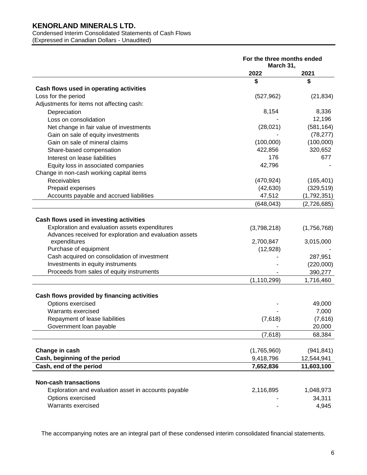#### Condensed Interim Consolidated Statements of Cash Flows (Expressed in Canadian Dollars - Unaudited)

|                                                         | For the three months ended<br>March 31, |             |
|---------------------------------------------------------|-----------------------------------------|-------------|
|                                                         | 2022                                    | 2021        |
|                                                         | \$                                      | \$          |
| Cash flows used in operating activities                 |                                         |             |
| Loss for the period                                     | (527, 962)                              | (21, 834)   |
| Adjustments for items not affecting cash:               |                                         |             |
| Depreciation                                            | 8,154                                   | 8,336       |
| Loss on consolidation                                   |                                         | 12,196      |
| Net change in fair value of investments                 | (28, 021)                               | (581, 164)  |
| Gain on sale of equity investments                      |                                         | (78, 277)   |
| Gain on sale of mineral claims                          | (100,000)                               | (100,000)   |
| Share-based compensation                                | 422,856                                 | 320,652     |
| Interest on lease liabilities                           | 176                                     | 677         |
| Equity loss in associated companies                     | 42,796                                  |             |
| Change in non-cash working capital items                |                                         |             |
| <b>Receivables</b>                                      | (470, 924)                              | (165, 401)  |
| Prepaid expenses                                        | (42, 630)                               | (329, 519)  |
| Accounts payable and accrued liabilities                | 47,512                                  | (1,792,351) |
|                                                         | (648, 043)                              | (2,726,685) |
|                                                         |                                         |             |
| Cash flows used in investing activities                 |                                         |             |
| Exploration and evaluation assets expenditures          | (3,798,218)                             | (1,756,768) |
| Advances received for exploration and evaluation assets |                                         |             |
| expenditures                                            | 2,700,847                               | 3,015,000   |
| Purchase of equipment                                   | (12, 928)                               |             |
| Cash acquired on consolidation of investment            |                                         | 287,951     |
| Investments in equity instruments                       |                                         | (220,000)   |
| Proceeds from sales of equity instruments               |                                         | 390,277     |
|                                                         | (1, 110, 299)                           | 1,716,460   |
|                                                         |                                         |             |
| Cash flows provided by financing activities             |                                         |             |
| Options exercised                                       |                                         | 49,000      |
| Warrants exercised                                      |                                         | 7,000       |
| Repayment of lease liabilities                          | (7,618)                                 | (7,616)     |
| Government loan payable                                 |                                         | 20,000      |
|                                                         | (7,618)                                 | 68,384      |
|                                                         |                                         |             |
| Change in cash                                          | (1,765,960)                             | (941, 841)  |
| Cash, beginning of the period                           | 9,418,796                               | 12,544,941  |
| Cash, end of the period                                 | 7,652,836                               | 11,603,100  |
|                                                         |                                         |             |
| <b>Non-cash transactions</b>                            |                                         |             |
| Exploration and evaluation asset in accounts payable    | 2,116,895                               | 1,048,973   |
| Options exercised                                       |                                         | 34,311      |
| Warrants exercised                                      |                                         | 4,945       |

The accompanying notes are an integral part of these condensed interim consolidated financial statements.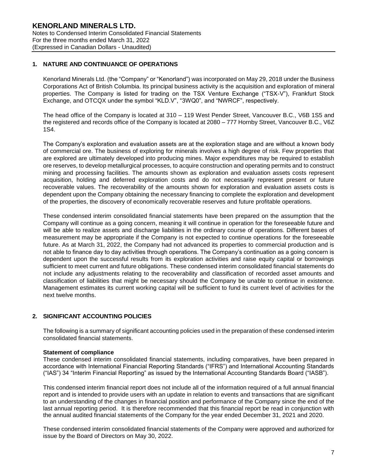# **1. NATURE AND CONTINUANCE OF OPERATIONS**

Kenorland Minerals Ltd. (the "Company" or "Kenorland") was incorporated on May 29, 2018 under the Business Corporations Act of British Columbia. Its principal business activity is the acquisition and exploration of mineral properties. The Company is listed for trading on the TSX Venture Exchange ("TSX-V"), Frankfurt Stock Exchange, and OTCQX under the symbol "KLD.V", "3WQ0", and "NWRCF", respectively.

The head office of the Company is located at 310 – 119 West Pender Street, Vancouver B.C., V6B 1S5 and the registered and records office of the Company is located at 2080 – 777 Hornby Street, Vancouver B.C., V6Z 1S4.

The Company's exploration and evaluation assets are at the exploration stage and are without a known body of commercial ore. The business of exploring for minerals involves a high degree of risk. Few properties that are explored are ultimately developed into producing mines. Major expenditures may be required to establish ore reserves, to develop metallurgical processes, to acquire construction and operating permits and to construct mining and processing facilities. The amounts shown as exploration and evaluation assets costs represent acquisition, holding and deferred exploration costs and do not necessarily represent present or future recoverable values. The recoverability of the amounts shown for exploration and evaluation assets costs is dependent upon the Company obtaining the necessary financing to complete the exploration and development of the properties, the discovery of economically recoverable reserves and future profitable operations.

These condensed interim consolidated financial statements have been prepared on the assumption that the Company will continue as a going concern, meaning it will continue in operation for the foreseeable future and will be able to realize assets and discharge liabilities in the ordinary course of operations. Different bases of measurement may be appropriate if the Company is not expected to continue operations for the foreseeable future. As at March 31, 2022, the Company had not advanced its properties to commercial production and is not able to finance day to day activities through operations. The Company's continuation as a going concern is dependent upon the successful results from its exploration activities and raise equity capital or borrowings sufficient to meet current and future obligations. These condensed interim consolidated financial statements do not include any adjustments relating to the recoverability and classification of recorded asset amounts and classification of liabilities that might be necessary should the Company be unable to continue in existence. Management estimates its current working capital will be sufficient to fund its current level of activities for the next twelve months.

# **2. SIGNIFICANT ACCOUNTING POLICIES**

The following is a summary of significant accounting policies used in the preparation of these condensed interim consolidated financial statements.

### **Statement of compliance**

These condensed interim consolidated financial statements, including comparatives, have been prepared in accordance with International Financial Reporting Standards ("IFRS") and International Accounting Standards ("IAS") 34 "Interim Financial Reporting" as issued by the International Accounting Standards Board ("IASB").

This condensed interim financial report does not include all of the information required of a full annual financial report and is intended to provide users with an update in relation to events and transactions that are significant to an understanding of the changes in financial position and performance of the Company since the end of the last annual reporting period. It is therefore recommended that this financial report be read in conjunction with the annual audited financial statements of the Company for the year ended December 31, 2021 and 2020.

These condensed interim consolidated financial statements of the Company were approved and authorized for issue by the Board of Directors on May 30, 2022.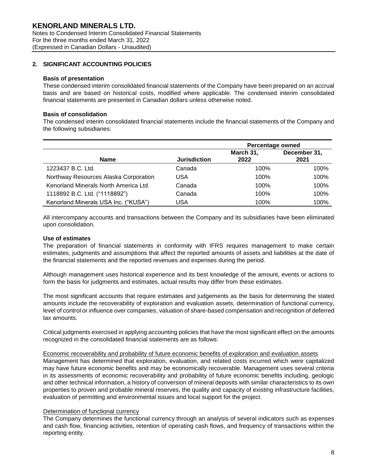# **2. SIGNIFICANT ACCOUNTING POLICIES**

### **Basis of presentation**

These condensed interim consolidated financial statements of the Company have been prepared on an accrual basis and are based on historical costs, modified where applicable. The condensed interim consolidated financial statements are presented in Canadian dollars unless otherwise noted.

### **Basis of consolidation**

The condensed interim consolidated financial statements include the financial statements of the Company and the following subsidiaries:

|                                       |                     | <b>Percentage owned</b> |                      |  |
|---------------------------------------|---------------------|-------------------------|----------------------|--|
| <b>Name</b>                           | <b>Jurisdiction</b> | March 31,<br>2022       | December 31,<br>2021 |  |
| 1223437 B.C. Ltd.                     | Canada              | 100%                    | 100%                 |  |
| Northway Resources Alaska Corporation | USA                 | 100%                    | 100%                 |  |
| Kenorland Minerals North America Ltd. | Canada              | 100%                    | 100%                 |  |
| 1118892 B.C. Ltd. ("1118892")         | Canada              | 100%                    | 100%                 |  |
| Kenorland Minerals USA Inc. ("KUSA")  | USA                 | 100%                    | 100%                 |  |

All intercompany accounts and transactions between the Company and its subsidiaries have been eliminated upon consolidation.

### **Use of estimates**

The preparation of financial statements in conformity with IFRS requires management to make certain estimates, judgments and assumptions that affect the reported amounts of assets and liabilities at the date of the financial statements and the reported revenues and expenses during the period.

Although management uses historical experience and its best knowledge of the amount, events or actions to form the basis for judgments and estimates, actual results may differ from these estimates.

The most significant accounts that require estimates and judgements as the basis for determining the stated amounts include the recoverability of exploration and evaluation assets, determination of functional currency, level of control or influence over companies, valuation of share-based compensation and recognition of deferred tax amounts.

Critical judgments exercised in applying accounting policies that have the most significant effect on the amounts recognized in the consolidated financial statements are as follows:

#### Economic recoverability and probability of future economic benefits of exploration and evaluation assets

Management has determined that exploration, evaluation, and related costs incurred which were capitalized may have future economic benefits and may be economically recoverable. Management uses several criteria in its assessments of economic recoverability and probability of future economic benefits including, geologic and other technical information, a history of conversion of mineral deposits with similar characteristics to its own properties to proven and probable mineral reserves, the quality and capacity of existing infrastructure facilities, evaluation of permitting and environmental issues and local support for the project.

### Determination of functional currency

The Company determines the functional currency through an analysis of several indicators such as expenses and cash flow, financing activities, retention of operating cash flows, and frequency of transactions within the reporting entity.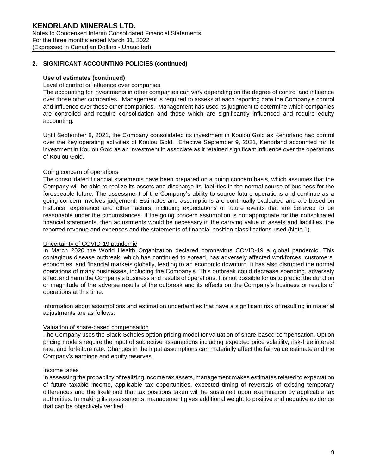# **2. SIGNIFICANT ACCOUNTING POLICIES (continued)**

### **Use of estimates (continued)**

### Level of control or influence over companies

The accounting for investments in other companies can vary depending on the degree of control and influence over those other companies. Management is required to assess at each reporting date the Company's control and influence over these other companies. Management has used its judgment to determine which companies are controlled and require consolidation and those which are significantly influenced and require equity accounting.

Until September 8, 2021, the Company consolidated its investment in Koulou Gold as Kenorland had control over the key operating activities of Koulou Gold. Effective September 9, 2021, Kenorland accounted for its investment in Koulou Gold as an investment in associate as it retained significant influence over the operations of Koulou Gold.

### Going concern of operations

The consolidated financial statements have been prepared on a going concern basis, which assumes that the Company will be able to realize its assets and discharge its liabilities in the normal course of business for the foreseeable future. The assessment of the Company's ability to source future operations and continue as a going concern involves judgement. Estimates and assumptions are continually evaluated and are based on historical experience and other factors, including expectations of future events that are believed to be reasonable under the circumstances. If the going concern assumption is not appropriate for the consolidated financial statements, then adjustments would be necessary in the carrying value of assets and liabilities, the reported revenue and expenses and the statements of financial position classifications used (Note 1).

#### Uncertainty of COVID-19 pandemic

In March 2020 the World Health Organization declared coronavirus COVID-19 a global pandemic. This contagious disease outbreak, which has continued to spread, has adversely affected workforces, customers, economies, and financial markets globally, leading to an economic downturn. It has also disrupted the normal operations of many businesses, including the Company's. This outbreak could decrease spending, adversely affect and harm the Company's business and results of operations. It is not possible for us to predict the duration or magnitude of the adverse results of the outbreak and its effects on the Company's business or results of operations at this time.

Information about assumptions and estimation uncertainties that have a significant risk of resulting in material adjustments are as follows:

### Valuation of share-based compensation

The Company uses the Black-Scholes option pricing model for valuation of share-based compensation. Option pricing models require the input of subjective assumptions including expected price volatility, risk-free interest rate, and forfeiture rate. Changes in the input assumptions can materially affect the fair value estimate and the Company's earnings and equity reserves.

#### Income taxes

In assessing the probability of realizing income tax assets, management makes estimates related to expectation of future taxable income, applicable tax opportunities, expected timing of reversals of existing temporary differences and the likelihood that tax positions taken will be sustained upon examination by applicable tax authorities. In making its assessments, management gives additional weight to positive and negative evidence that can be objectively verified.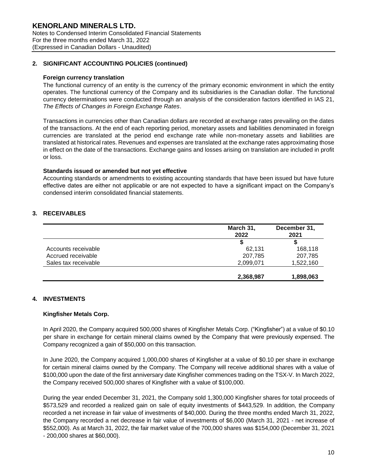# **2. SIGNIFICANT ACCOUNTING POLICIES (continued)**

### **Foreign currency translation**

The functional currency of an entity is the currency of the primary economic environment in which the entity operates. The functional currency of the Company and its subsidiaries is the Canadian dollar. The functional currency determinations were conducted through an analysis of the consideration factors identified in IAS 21, *The Effects of Changes in Foreign Exchange Rates*.

Transactions in currencies other than Canadian dollars are recorded at exchange rates prevailing on the dates of the transactions. At the end of each reporting period, monetary assets and liabilities denominated in foreign currencies are translated at the period end exchange rate while non-monetary assets and liabilities are translated at historical rates. Revenues and expenses are translated at the exchange rates approximating those in effect on the date of the transactions. Exchange gains and losses arising on translation are included in profit or loss.

### **Standards issued or amended but not yet effective**

Accounting standards or amendments to existing accounting standards that have been issued but have future effective dates are either not applicable or are not expected to have a significant impact on the Company's condensed interim consolidated financial statements.

# **3. RECEIVABLES**

|                      | March 31,<br>2022 | December 31,<br>2021 |
|----------------------|-------------------|----------------------|
|                      |                   |                      |
| Accounts receivable  | 62.131            | 168,118              |
| Accrued receivable   | 207,785           | 207,785              |
| Sales tax receivable | 2,099,071         | 1,522,160            |
|                      | 2,368,987         | 1,898,063            |

### **4. INVESTMENTS**

### **Kingfisher Metals Corp.**

In April 2020, the Company acquired 500,000 shares of Kingfisher Metals Corp. ("Kingfisher") at a value of \$0.10 per share in exchange for certain mineral claims owned by the Company that were previously expensed. The Company recognized a gain of \$50,000 on this transaction.

In June 2020, the Company acquired 1,000,000 shares of Kingfisher at a value of \$0.10 per share in exchange for certain mineral claims owned by the Company. The Company will receive additional shares with a value of \$100,000 upon the date of the first anniversary date Kingfisher commences trading on the TSX-V. In March 2022, the Company received 500,000 shares of Kingfisher with a value of \$100,000.

During the year ended December 31, 2021, the Company sold 1,300,000 Kingfisher shares for total proceeds of \$573,529 and recorded a realized gain on sale of equity investments of \$443,529. In addition, the Company recorded a net increase in fair value of investments of \$40,000. During the three months ended March 31, 2022, the Company recorded a net decrease in fair value of investments of \$6,000 (March 31, 2021 - net increase of \$552,000). As at March 31, 2022, the fair market value of the 700,000 shares was \$154,000 (December 31, 2021 - 200,000 shares at \$60,000).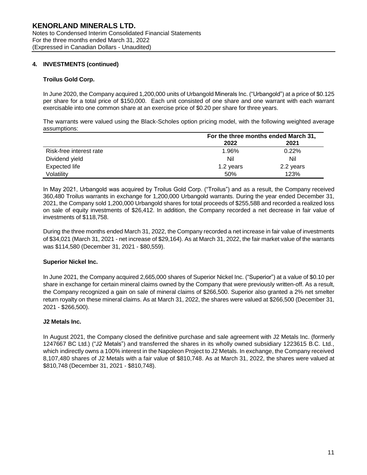# **4. INVESTMENTS (continued)**

### **Troilus Gold Corp.**

In June 2020, the Company acquired 1,200,000 units of Urbangold Minerals Inc. ("Urbangold") at a price of \$0.125 per share for a total price of \$150,000. Each unit consisted of one share and one warrant with each warrant exercisable into one common share at an exercise price of \$0.20 per share for three years.

The warrants were valued using the Black-Scholes option pricing model, with the following weighted average assumptions:

|                         | For the three months ended March 31, |           |
|-------------------------|--------------------------------------|-----------|
|                         | 2022                                 | 2021      |
| Risk-free interest rate | 1.96%                                | 0.22%     |
| Dividend yield          | Nil                                  | Nil       |
| <b>Expected life</b>    | 1.2 years                            | 2.2 years |
| Volatilitv              | 50%                                  | 123%      |

In May 2021, Urbangold was acquired by Troilus Gold Corp. ("Troilus") and as a result, the Company received 360,480 Troilus warrants in exchange for 1,200,000 Urbangold warrants. During the year ended December 31, 2021, the Company sold 1,200,000 Urbangold shares for total proceeds of \$255,588 and recorded a realized loss on sale of equity investments of \$26,412. In addition, the Company recorded a net decrease in fair value of investments of \$118,758.

During the three months ended March 31, 2022, the Company recorded a net increase in fair value of investments of \$34,021 (March 31, 2021 - net increase of \$29,164). As at March 31, 2022, the fair market value of the warrants was \$114,580 (December 31, 2021 - \$80,559).

### **Superior Nickel Inc.**

In June 2021, the Company acquired 2,665,000 shares of Superior Nickel Inc. ("Superior") at a value of \$0.10 per share in exchange for certain mineral claims owned by the Company that were previously written-off. As a result, the Company recognized a gain on sale of mineral claims of \$266,500. Superior also granted a 2% net smelter return royalty on these mineral claims. As at March 31, 2022, the shares were valued at \$266,500 (December 31, 2021 - \$266,500).

# **J2 Metals Inc.**

In August 2021, the Company closed the definitive purchase and sale agreement with J2 Metals Inc. (formerly 1247667 BC Ltd.) ("J2 Metals") and transferred the shares in its wholly owned subsidiary 1223615 B.C. Ltd., which indirectly owns a 100% interest in the Napoleon Project to J2 Metals. In exchange, the Company received 8,107,480 shares of J2 Metals with a fair value of \$810,748. As at March 31, 2022, the shares were valued at \$810,748 (December 31, 2021 - \$810,748).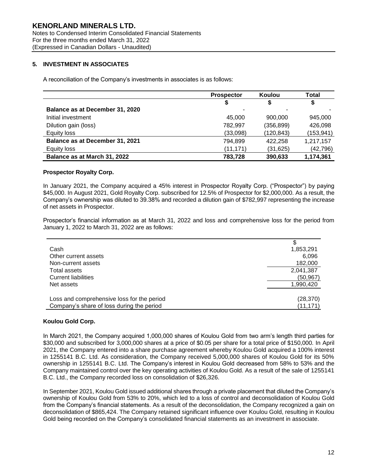# **5. INVESTMENT IN ASSOCIATES**

A reconciliation of the Company's investments in associates is as follows:

|                                 | <b>Prospector</b> | Koulou     | Total      |
|---------------------------------|-------------------|------------|------------|
|                                 | \$                | \$         |            |
| Balance as at December 31, 2020 |                   | ٠          |            |
| Initial investment              | 45.000            | 900,000    | 945,000    |
| Dilution gain (loss)            | 782,997           | (356, 899) | 426,098    |
| Equity loss                     | (33,098)          | (120, 843) | (153, 941) |
| Balance as at December 31, 2021 | 794,899           | 422,258    | 1,217,157  |
| Equity loss                     | (11, 171)         | (31, 625)  | (42, 796)  |
| Balance as at March 31, 2022    | 783,728           | 390,633    | 1,174,361  |

# **Prospector Royalty Corp.**

In January 2021, the Company acquired a 45% interest in Prospector Royalty Corp. ("Prospector") by paying \$45,000. In August 2021, Gold Royalty Corp. subscribed for 12.5% of Prospector for \$2,000,000. As a result, the Company's ownership was diluted to 39.38% and recorded a dilution gain of \$782,997 representing the increase of net assets in Prospector.

Prospector's financial information as at March 31, 2022 and loss and comprehensive loss for the period from January 1, 2022 to March 31, 2022 are as follows:

| Cash                                       | 1,853,291 |
|--------------------------------------------|-----------|
| Other current assets                       | 6,096     |
| Non-current assets                         | 182,000   |
| Total assets                               | 2,041,387 |
| <b>Current liabilities</b>                 | (50,967)  |
| Net assets                                 | 1,990,420 |
|                                            |           |
| Loss and comprehensive loss for the period | (28, 370) |
| Company's share of loss during the period  | (11, 171) |

### **Koulou Gold Corp.**

In March 2021, the Company acquired 1,000,000 shares of Koulou Gold from two arm's length third parties for \$30,000 and subscribed for 3,000,000 shares at a price of \$0.05 per share for a total price of \$150,000. In April 2021, the Company entered into a share purchase agreement whereby Koulou Gold acquired a 100% interest in 1255141 B.C. Ltd. As consideration, the Company received 5,000,000 shares of Koulou Gold for its 50% ownership in 1255141 B.C. Ltd. The Company's interest in Koulou Gold decreased from 58% to 53% and the Company maintained control over the key operating activities of Koulou Gold. As a result of the sale of 1255141 B.C. Ltd., the Company recorded loss on consolidation of \$26,326.

In September 2021, Koulou Gold issued additional shares through a private placement that diluted the Company's ownership of Koulou Gold from 53% to 20%, which led to a loss of control and deconsolidation of Koulou Gold from the Company's financial statements. As a result of the deconsolidation, the Company recognized a gain on deconsolidation of \$865,424. The Company retained significant influence over Koulou Gold, resulting in Koulou Gold being recorded on the Company's consolidated financial statements as an investment in associate.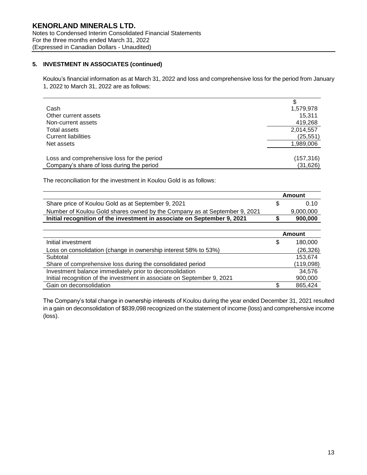# **5. INVESTMENT IN ASSOCIATES (continued)**

Koulou's financial information as at March 31, 2022 and loss and comprehensive loss for the period from January 1, 2022 to March 31, 2022 are as follows:

| Cash                                       | 1,579,978  |
|--------------------------------------------|------------|
| Other current assets                       | 15,311     |
| Non-current assets                         | 419,268    |
| Total assets                               | 2,014,557  |
| <b>Current liabilities</b>                 | (25, 551)  |
| Net assets                                 | 1,989,006  |
|                                            |            |
| Loss and comprehensive loss for the period | (157, 316) |
| Company's share of loss during the period  | (31, 626)  |

The reconciliation for the investment in Koulou Gold is as follows:

|                                                                           | Amount    |
|---------------------------------------------------------------------------|-----------|
| Share price of Koulou Gold as at September 9, 2021                        | O 10      |
| Number of Koulou Gold shares owned by the Company as at September 9, 2021 | 9,000,000 |
| Initial recognition of the investment in associate on September 9, 2021   | 900,000   |

|                                                                         |   | <b>Amount</b> |
|-------------------------------------------------------------------------|---|---------------|
| Initial investment                                                      | S | 180,000       |
| Loss on consolidation (change in ownership interest 58% to 53%)         |   | (26, 326)     |
| Subtotal                                                                |   | 153.674       |
| Share of comprehensive loss during the consolidated period              |   | (119,098)     |
| Investment balance immediately prior to deconsolidation                 |   | 34,576        |
| Initial recognition of the investment in associate on September 9, 2021 |   | 900,000       |
| Gain on deconsolidation                                                 |   | 865,424       |

The Company's total change in ownership interests of Koulou during the year ended December 31, 2021 resulted in a gain on deconsolidation of \$839,098 recognized on the statement of income (loss) and comprehensive income (loss).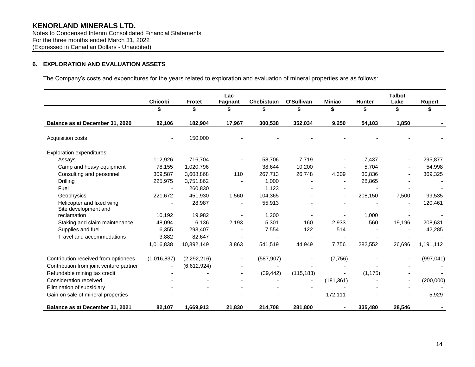Notes to Condensed Interim Consolidated Financial Statements For the three months ended March 31, 2022 (Expressed in Canadian Dollars - Unaudited)

# **6. EXPLORATION AND EVALUATION ASSETS**

The Company's costs and expenditures for the years related to exploration and evaluation of mineral properties are as follows:

|                                                   | Chicobi     | <b>Frotet</b> | Lac<br>Fagnant | Chebistuan | O'Sullivan | <b>Miniac</b> | <b>Hunter</b> | <b>Talbot</b><br>Lake | <b>Rupert</b> |
|---------------------------------------------------|-------------|---------------|----------------|------------|------------|---------------|---------------|-----------------------|---------------|
|                                                   | \$          | \$            | \$             | \$         | \$         | \$            | \$            | \$                    | \$            |
| Balance as at December 31, 2020                   | 82,106      | 182,904       | 17,967         | 300,538    | 352,034    | 9,250         | 54,103        | 1,850                 |               |
| Acquisition costs                                 | $\sim$      | 150,000       |                |            |            |               |               |                       |               |
| <b>Exploration expenditures:</b>                  |             |               |                |            |            |               |               |                       |               |
| Assays                                            | 112,926     | 716,704       |                | 58,706     | 7.719      |               | 7,437         |                       | 295,877       |
| Camp and heavy equipment                          | 78,155      | 1,020,796     |                | 38,644     | 10,200     |               | 5,704         |                       | 54,998        |
| Consulting and personnel                          | 309,587     | 3,608,868     | 110            | 267,713    | 26,748     | 4,309         | 30,836        |                       | 369,325       |
| Drilling                                          | 225,975     | 3,751,862     |                | 1,000      |            |               | 28,865        |                       |               |
| Fuel                                              |             | 260,830       |                | 1,123      |            |               |               |                       |               |
| Geophysics                                        | 221,672     | 451,930       | 1,560          | 104,365    |            |               | 208,150       | 7,500                 | 99,535        |
| Helicopter and fixed wing<br>Site development and |             | 28,987        |                | 55,913     |            |               |               |                       | 120,461       |
| reclamation                                       | 10,192      | 19,982        |                | 1,200      |            |               | 1,000         |                       |               |
| Staking and claim maintenance                     | 48,094      | 6,136         | 2,193          | 5,301      | 160        | 2,933         | 560           | 19,196                | 208,631       |
| Supplies and fuel                                 | 6,355       | 293,407       |                | 7,554      | 122        | 514           |               |                       | 42,285        |
| Travel and accommodations                         | 3,882       | 82,647        |                |            |            |               |               |                       |               |
|                                                   | 1,016,838   | 10,392,149    | 3,863          | 541,519    | 44,949     | 7,756         | 282,552       | 26,696                | 1,191,112     |
| Contribution received from optionees              | (1,016,837) | (2, 292, 216) |                | (587, 907) |            | (7, 756)      |               |                       | (997, 041)    |
| Contribution from joint venture partner           |             | (6,612,924)   |                |            |            |               |               |                       |               |
| Refundable mining tax credit                      |             |               |                | (39, 442)  | (115, 183) |               | (1, 175)      |                       |               |
| Consideration received                            |             |               |                |            |            | (181, 361)    |               |                       | (200,000)     |
| Elimination of subsidiary                         |             |               |                |            |            |               |               |                       |               |
| Gain on sale of mineral properties                |             |               |                |            |            | 172,111       |               |                       | 5,929         |
| Balance as at December 31, 2021                   | 82,107      | 1,669,913     | 21,830         | 214,708    | 281,800    | ۰.            | 335,480       | 28,546                |               |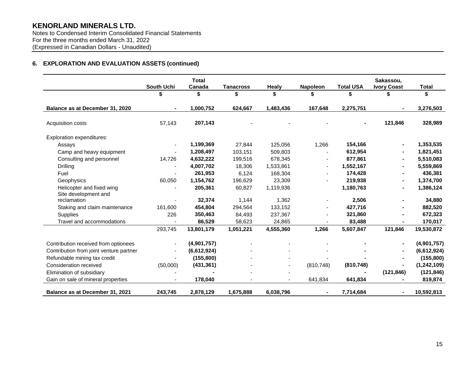Notes to Condensed Interim Consolidated Financial Statements For the three months ended March 31, 2022 (Expressed in Canadian Dollars - Unaudited)

# **6. EXPLORATION AND EVALUATION ASSETS (continued)**

|                                         | <b>Total</b> |             |                  |           |                 |                  | Sakassou.          |              |
|-----------------------------------------|--------------|-------------|------------------|-----------|-----------------|------------------|--------------------|--------------|
|                                         | South Uchi   | Canada      | <b>Tanacross</b> | Healy     | <b>Napoleon</b> | <b>Total USA</b> | <b>Ivory Coast</b> | <b>Total</b> |
|                                         |              |             | \$               | \$        | \$              | \$               |                    | \$           |
| Balance as at December 31, 2020         |              | 1,000,752   | 624,667          | 1,483,436 | 167,648         | 2,275,751        |                    | 3,276,503    |
| Acquisition costs                       | 57,143       | 207,143     |                  |           |                 |                  | 121,846            | 328,989      |
| Exploration expenditures:               |              |             |                  |           |                 |                  |                    |              |
| Assays                                  |              | 1,199,369   | 27,844           | 125,056   | 1,266           | 154,166          |                    | 1,353,535    |
| Camp and heavy equipment                |              | 1,208,497   | 103,151          | 509,803   |                 | 612,954          |                    | 1,821,451    |
| Consulting and personnel                | 14,726       | 4,632,222   | 199,516          | 678,345   |                 | 877,861          |                    | 5,510,083    |
| Drilling                                |              | 4,007,702   | 18,306           | 1,533,861 |                 | 1,552,167        |                    | 5,559,869    |
| Fuel                                    |              | 261,953     | 6,124            | 168,304   |                 | 174,428          |                    | 436,381      |
| Geophysics                              | 60,050       | 1,154,762   | 196,629          | 23,309    |                 | 219,938          |                    | 1,374,700    |
| Helicopter and fixed wing               |              | 205,361     | 60,827           | 1,119,936 |                 | 1,180,763        |                    | 1,386,124    |
| Site development and                    |              |             |                  |           |                 |                  |                    |              |
| reclamation                             |              | 32,374      | 1,144            | 1,362     |                 | 2,506            |                    | 34,880       |
| Staking and claim maintenance           | 161,600      | 454,804     | 294,564          | 133,152   |                 | 427,716          |                    | 882,520      |
| <b>Supplies</b>                         | 226          | 350,463     | 84,493           | 237,367   |                 | 321,860          |                    | 672,323      |
| Travel and accommodations               |              | 86,529      | 58,623           | 24,865    |                 | 83,488           |                    | 170,017      |
|                                         | 293,745      | 13,801,179  | 1,051,221        | 4,555,360 | 1,266           | 5,607,847        | 121,846            | 19,530,872   |
| Contribution received from optionees    |              | (4,901,757) |                  |           |                 |                  |                    | (4,901,757)  |
| Contribution from joint venture partner |              | (6,612,924) |                  |           |                 |                  |                    | (6,612,924)  |
| Refundable mining tax credit            |              | (155, 800)  |                  |           |                 |                  |                    | (155, 800)   |
| Consideration received                  | (50,000)     | (431, 361)  |                  |           | (810, 748)      | (810, 748)       |                    | (1,242,109)  |
| Elimination of subsidiary               |              |             |                  |           |                 |                  | (121, 846)         | (121, 846)   |
| Gain on sale of mineral properties      |              | 178,040     |                  |           | 641,834         | 641,834          |                    | 819,874      |
| Balance as at December 31, 2021         | 243,745      | 2,878,129   | 1,675,888        | 6,038,796 | $\blacksquare$  | 7,714,684        | $\blacksquare$     | 10,592,813   |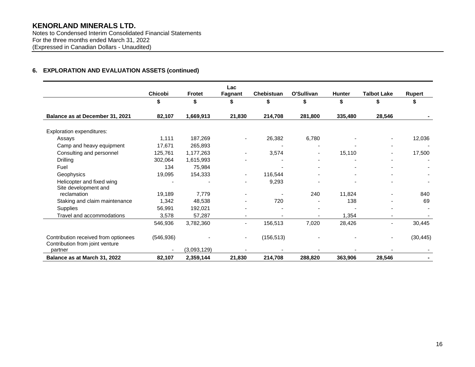Notes to Condensed Interim Consolidated Financial Statements For the three months ended March 31, 2022 (Expressed in Canadian Dollars - Unaudited)

# **6. EXPLORATION AND EVALUATION ASSETS (continued)**

|                                                                         |            |               | Lac     |            |                          |               |                    |               |
|-------------------------------------------------------------------------|------------|---------------|---------|------------|--------------------------|---------------|--------------------|---------------|
|                                                                         | Chicobi    | <b>Frotet</b> | Fagnant | Chebistuan | O'Sullivan               | <b>Hunter</b> | <b>Talbot Lake</b> | <b>Rupert</b> |
|                                                                         | \$         | \$            | \$      | \$         | \$                       | \$            | S                  |               |
| Balance as at December 31, 2021                                         | 82,107     | 1,669,913     | 21,830  | 214,708    | 281,800                  | 335,480       | 28,546             |               |
| Exploration expenditures:                                               |            |               |         |            |                          |               |                    |               |
| Assays                                                                  | 1,111      | 187,269       |         | 26,382     | 6,780                    |               |                    | 12,036        |
| Camp and heavy equipment                                                | 17,671     | 265,893       |         |            |                          |               |                    |               |
| Consulting and personnel                                                | 125,761    | 1,177,263     | ٠       | 3,574      | $\overline{\phantom{a}}$ | 15,110        |                    | 17,500        |
| <b>Drilling</b>                                                         | 302,064    | 1,615,993     |         |            | $\overline{\phantom{0}}$ |               |                    |               |
| Fuel                                                                    | 134        | 75,984        |         |            |                          |               |                    |               |
| Geophysics                                                              | 19,095     | 154,333       |         | 116,544    |                          |               |                    |               |
| Helicopter and fixed wing                                               |            |               |         | 9,293      |                          |               |                    |               |
| Site development and                                                    |            |               |         |            |                          |               |                    |               |
| reclamation                                                             | 19,189     | 7,779         |         |            | 240                      | 11,824        |                    | 840           |
| Staking and claim maintenance                                           | 1,342      | 48,538        |         | 720        |                          | 138           |                    | 69            |
| <b>Supplies</b>                                                         | 56,991     | 192,021       |         |            |                          |               |                    |               |
| Travel and accommodations                                               | 3,578      | 57,287        |         |            |                          | 1,354         |                    |               |
|                                                                         | 546,936    | 3,782,360     |         | 156,513    | 7,020                    | 28,426        | -                  | 30,445        |
| Contribution received from optionees<br>Contribution from joint venture | (546, 936) |               |         | (156, 513) |                          |               |                    | (30, 445)     |
| partner                                                                 |            | (3,093,129)   |         |            |                          |               |                    |               |
| Balance as at March 31, 2022                                            | 82,107     | 2,359,144     | 21,830  | 214,708    | 288,820                  | 363,906       | 28,546             |               |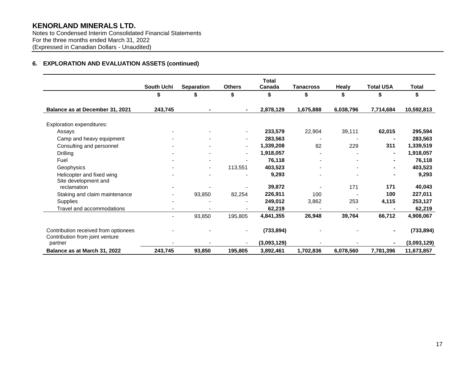Notes to Condensed Interim Consolidated Financial Statements For the three months ended March 31, 2022 (Expressed in Canadian Dollars - Unaudited)

# **6. EXPLORATION AND EVALUATION ASSETS (continued)**

|                                                                         | South Uchi | <b>Separation</b> | <b>Others</b> | <b>Total</b><br>Canada | Tanacross | <b>Healy</b> | <b>Total USA</b> | <b>Total</b> |
|-------------------------------------------------------------------------|------------|-------------------|---------------|------------------------|-----------|--------------|------------------|--------------|
|                                                                         | \$         | \$                | \$            | \$                     | \$        | \$           | \$               | \$           |
| Balance as at December 31, 2021                                         | 243,745    |                   | ٠.            | 2,878,129              | 1,675,888 | 6,038,796    | 7,714,684        | 10,592,813   |
| Exploration expenditures:                                               |            |                   |               |                        |           |              |                  |              |
| Assays                                                                  |            |                   |               | 233,579                | 22,904    | 39,111       | 62,015           | 295,594      |
| Camp and heavy equipment                                                |            |                   |               | 283,563                |           |              |                  | 283,563      |
| Consulting and personnel                                                |            |                   | ۰.            | 1,339,208              | 82        | 229          | 311              | 1,339,519    |
| Drilling                                                                |            |                   | ٠             | 1,918,057              |           |              |                  | 1,918,057    |
| Fuel                                                                    |            |                   |               | 76,118                 |           |              |                  | 76,118       |
| Geophysics                                                              |            | ٠                 | 113,551       | 403,523                |           |              |                  | 403,523      |
| Helicopter and fixed wing                                               |            |                   |               | 9,293                  |           |              |                  | 9,293        |
| Site development and                                                    |            |                   |               |                        |           |              |                  |              |
| reclamation                                                             |            |                   |               | 39,872                 |           | 171          | 171              | 40,043       |
| Staking and claim maintenance                                           |            | 93,850            | 82,254        | 226,911                | 100       |              | 100              | 227,011      |
| Supplies                                                                |            |                   |               | 249,012                | 3,862     | 253          | 4,115            | 253,127      |
| Travel and accommodations                                               |            |                   |               | 62,219                 |           |              |                  | 62,219       |
|                                                                         |            | 93,850            | 195,805       | 4,841,355              | 26,948    | 39,764       | 66,712           | 4,908,067    |
| Contribution received from optionees<br>Contribution from joint venture |            |                   |               | (733, 894)             |           |              |                  | (733, 894)   |
| partner                                                                 |            |                   |               | (3,093,129)            |           |              |                  | (3,093,129)  |
| Balance as at March 31, 2022                                            | 243,745    | 93,850            | 195,805       | 3,892,461              | 1,702,836 | 6,078,560    | 7,781,396        | 11,673,857   |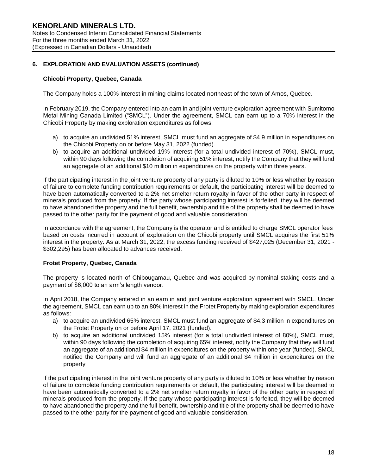# **Chicobi Property, Quebec, Canada**

The Company holds a 100% interest in mining claims located northeast of the town of Amos, Quebec.

In February 2019, the Company entered into an earn in and joint venture exploration agreement with Sumitomo Metal Mining Canada Limited ("SMCL"). Under the agreement, SMCL can earn up to a 70% interest in the Chicobi Property by making exploration expenditures as follows:

- a) to acquire an undivided 51% interest, SMCL must fund an aggregate of \$4.9 million in expenditures on the Chicobi Property on or before May 31, 2022 (funded).
- b) to acquire an additional undivided 19% interest (for a total undivided interest of 70%), SMCL must, within 90 days following the completion of acquiring 51% interest, notify the Company that they will fund an aggregate of an additional \$10 million in expenditures on the property within three years.

If the participating interest in the joint venture property of any party is diluted to 10% or less whether by reason of failure to complete funding contribution requirements or default, the participating interest will be deemed to have been automatically converted to a 2% net smelter return royalty in favor of the other party in respect of minerals produced from the property. If the party whose participating interest is forfeited, they will be deemed to have abandoned the property and the full benefit, ownership and title of the property shall be deemed to have passed to the other party for the payment of good and valuable consideration.

In accordance with the agreement, the Company is the operator and is entitled to charge SMCL operator fees based on costs incurred in account of exploration on the Chicobi property until SMCL acquires the first 51% interest in the property. As at March 31, 2022, the excess funding received of \$427,025 (December 31, 2021 - \$302,295) has been allocated to advances received.

# **Frotet Property, Quebec, Canada**

The property is located north of Chibougamau, Quebec and was acquired by nominal staking costs and a payment of \$6,000 to an arm's length vendor.

In April 2018, the Company entered in an earn in and joint venture exploration agreement with SMCL. Under the agreement, SMCL can earn up to an 80% interest in the Frotet Property by making exploration expenditures as follows:

- a) to acquire an undivided 65% interest, SMCL must fund an aggregate of \$4.3 million in expenditures on the Frotet Property on or before April 17, 2021 (funded).
- b) to acquire an additional undivided 15% interest (for a total undivided interest of 80%), SMCL must, within 90 days following the completion of acquiring 65% interest, notify the Company that they will fund an aggregate of an additional \$4 million in expenditures on the property within one year (funded). SMCL notified the Company and will fund an aggregate of an additional \$4 million in expenditures on the property

If the participating interest in the joint venture property of any party is diluted to 10% or less whether by reason of failure to complete funding contribution requirements or default, the participating interest will be deemed to have been automatically converted to a 2% net smelter return royalty in favor of the other party in respect of minerals produced from the property. If the party whose participating interest is forfeited, they will be deemed to have abandoned the property and the full benefit, ownership and title of the property shall be deemed to have passed to the other party for the payment of good and valuable consideration.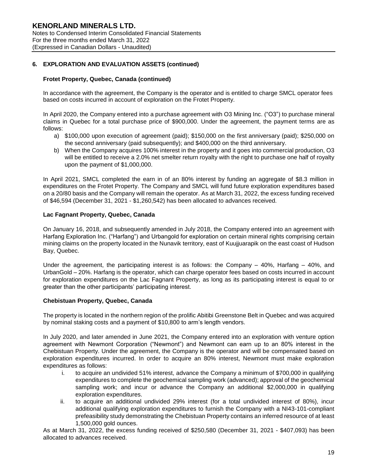# **Frotet Property, Quebec, Canada (continued)**

In accordance with the agreement, the Company is the operator and is entitled to charge SMCL operator fees based on costs incurred in account of exploration on the Frotet Property.

In April 2020, the Company entered into a purchase agreement with O3 Mining Inc. ("O3") to purchase mineral claims in Quebec for a total purchase price of \$900,000. Under the agreement, the payment terms are as follows:

- a) \$100,000 upon execution of agreement (paid); \$150,000 on the first anniversary (paid); \$250,000 on the second anniversary (paid subsequently); and \$400,000 on the third anniversary.
- b) When the Company acquires 100% interest in the property and it goes into commercial production, O3 will be entitled to receive a 2.0% net smelter return royalty with the right to purchase one half of royalty upon the payment of \$1,000,000.

In April 2021, SMCL completed the earn in of an 80% interest by funding an aggregate of \$8.3 million in expenditures on the Frotet Property. The Company and SMCL will fund future exploration expenditures based on a 20/80 basis and the Company will remain the operator. As at March 31, 2022, the excess funding received of \$46,594 (December 31, 2021 - \$1,260,542) has been allocated to advances received.

# **Lac Fagnant Property, Quebec, Canada**

On January 16, 2018, and subsequently amended in July 2018, the Company entered into an agreement with Harfang Exploration Inc. ("Harfang") and Urbangold for exploration on certain mineral rights comprising certain mining claims on the property located in the Nunavik territory, east of Kuujjuarapik on the east coast of Hudson Bay, Quebec.

Under the agreement, the participating interest is as follows: the Company – 40%, Harfang – 40%, and UrbanGold – 20%. Harfang is the operator, which can charge operator fees based on costs incurred in account for exploration expenditures on the Lac Fagnant Property, as long as its participating interest is equal to or greater than the other participants' participating interest.

### **Chebistuan Property, Quebec, Canada**

The property is located in the northern region of the prolific Abitibi Greenstone Belt in Quebec and was acquired by nominal staking costs and a payment of \$10,800 to arm's length vendors.

In July 2020, and later amended in June 2021, the Company entered into an exploration with venture option agreement with Newmont Corporation ("Newmont") and Newmont can earn up to an 80% interest in the Chebistuan Property. Under the agreement, the Company is the operator and will be compensated based on exploration expenditures incurred. In order to acquire an 80% interest, Newmont must make exploration expenditures as follows:

- i. to acquire an undivided 51% interest, advance the Company a minimum of \$700,000 in qualifying expenditures to complete the geochemical sampling work (advanced); approval of the geochemical sampling work; and incur or advance the Company an additional \$2,000,000 in qualifying exploration expenditures.
- ii. to acquire an additional undivided 29% interest (for a total undivided interest of 80%), incur additional qualifying exploration expenditures to furnish the Company with a NI43-101-compliant prefeasibility study demonstrating the Chebistuan Property contains an inferred resource of at least 1,500,000 gold ounces.

As at March 31, 2022, the excess funding received of \$250,580 (December 31, 2021 - \$407,093) has been allocated to advances received.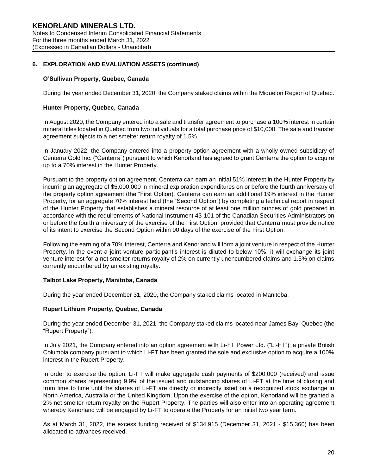### **O'Sullivan Property, Quebec, Canada**

During the year ended December 31, 2020, the Company staked claims within the Miquelon Region of Quebec.

### **Hunter Property, Quebec, Canada**

In August 2020, the Company entered into a sale and transfer agreement to purchase a 100% interest in certain mineral titles located in Quebec from two individuals for a total purchase price of \$10,000. The sale and transfer agreement subjects to a net smelter return royalty of 1.5%.

In January 2022, the Company entered into a property option agreement with a wholly owned subsidiary of Centerra Gold Inc. ("Centerra") pursuant to which Kenorland has agreed to grant Centerra the option to acquire up to a 70% interest in the Hunter Property.

Pursuant to the property option agreement, Centerra can earn an initial 51% interest in the Hunter Property by incurring an aggregate of \$5,000,000 in mineral exploration expenditures on or before the fourth anniversary of the property option agreement (the "First Option). Centerra can earn an additional 19% interest in the Hunter Property, for an aggregate 70% interest held (the "Second Option") by completing a technical report in respect of the Hunter Property that establishes a mineral resource of at least one million ounces of gold prepared in accordance with the requirements of National Instrument 43-101 of the Canadian Securities Administrators on or before the fourth anniversary of the exercise of the First Option, provided that Centerra must provide notice of its intent to exercise the Second Option within 90 days of the exercise of the First Option.

Following the earning of a 70% interest, Centerra and Kenorland will form a joint venture in respect of the Hunter Property. In the event a joint venture participant's interest is diluted to below 10%, it will exchange its joint venture interest for a net smelter returns royalty of 2% on currently unencumbered claims and 1.5% on claims currently encumbered by an existing royalty.

### **Talbot Lake Property, Manitoba, Canada**

During the year ended December 31, 2020, the Company staked claims located in Manitoba.

# **Rupert Lithium Property, Quebec, Canada**

During the year ended December 31, 2021, the Company staked claims located near James Bay, Quebec (the "Rupert Property").

In July 2021, the Company entered into an option agreement with Li-FT Power Ltd. ("Li-FT"), a private British Columbia company pursuant to which Li-FT has been granted the sole and exclusive option to acquire a 100% interest in the Rupert Property.

In order to exercise the option, Li-FT will make aggregate cash payments of \$200,000 (received) and issue common shares representing 9.9% of the issued and outstanding shares of Li-FT at the time of closing and from time to time until the shares of Li-FT are directly or indirectly listed on a recognized stock exchange in North America, Australia or the United Kingdom. Upon the exercise of the option, Kenorland will be granted a 2% net smelter return royalty on the Rupert Property. The parties will also enter into an operating agreement whereby Kenorland will be engaged by Li-FT to operate the Property for an initial two year term.

As at March 31, 2022, the excess funding received of \$134,915 (December 31, 2021 - \$15,360) has been allocated to advances received.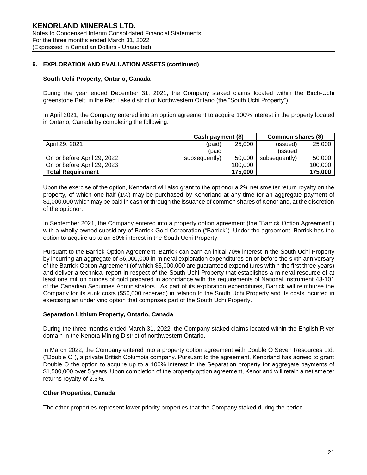### **South Uchi Property, Ontario, Canada**

During the year ended December 31, 2021, the Company staked claims located within the Birch-Uchi greenstone Belt, in the Red Lake district of Northwestern Ontario (the "South Uchi Property").

In April 2021, the Company entered into an option agreement to acquire 100% interest in the property located in Ontario, Canada by completing the following:

|                             | Cash payment (\$) |         | Common shares (\$) |         |
|-----------------------------|-------------------|---------|--------------------|---------|
| April 29, 2021              | (paid)            | 25,000  | (issued)           | 25,000  |
|                             | (paid             |         | (issued)           |         |
| On or before April 29, 2022 | subsequently)     | 50,000  | subsequently)      | 50,000  |
| On or before April 29, 2023 |                   | 100.000 |                    | 100,000 |
| <b>Total Requirement</b>    |                   | 175,000 |                    | 175,000 |

Upon the exercise of the option, Kenorland will also grant to the optionor a 2% net smelter return royalty on the property, of which one-half (1%) may be purchased by Kenorland at any time for an aggregate payment of \$1,000,000 which may be paid in cash or through the issuance of common shares of Kenorland, at the discretion of the optionor.

In September 2021, the Company entered into a property option agreement (the "Barrick Option Agreement") with a wholly-owned subsidiary of Barrick Gold Corporation ("Barrick"). Under the agreement, Barrick has the option to acquire up to an 80% interest in the South Uchi Property.

Pursuant to the Barrick Option Agreement, Barrick can earn an initial 70% interest in the South Uchi Property by incurring an aggregate of \$6,000,000 in mineral exploration expenditures on or before the sixth anniversary of the Barrick Option Agreement (of which \$3,000,000 are guaranteed expenditures within the first three years) and deliver a technical report in respect of the South Uchi Property that establishes a mineral resource of at least one million ounces of gold prepared in accordance with the requirements of National Instrument 43-101 of the Canadian Securities Administrators. As part of its exploration expenditures, Barrick will reimburse the Company for its sunk costs (\$50,000 received) in relation to the South Uchi Property and its costs incurred in exercising an underlying option that comprises part of the South Uchi Property.

### **Separation Lithium Property, Ontario, Canada**

During the three months ended March 31, 2022, the Company staked claims located within the English River domain in the Kenora Mining District of northwestern Ontario.

In March 2022, the Company entered into a property option agreement with Double O Seven Resources Ltd. ("Double O"), a private British Columbia company. Pursuant to the agreement, Kenorland has agreed to grant Double O the option to acquire up to a 100% interest in the Separation property for aggregate payments of \$1,500,000 over 5 years. Upon completion of the property option agreement, Kenorland will retain a net smelter returns royalty of 2.5%.

### **Other Properties, Canada**

The other properties represent lower priority properties that the Company staked during the period.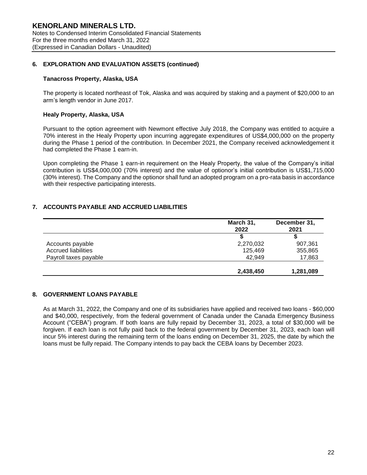### **Tanacross Property, Alaska, USA**

The property is located northeast of Tok, Alaska and was acquired by staking and a payment of \$20,000 to an arm's length vendor in June 2017.

#### **Healy Property, Alaska, USA**

Pursuant to the option agreement with Newmont effective July 2018, the Company was entitled to acquire a 70% interest in the Healy Property upon incurring aggregate expenditures of US\$4,000,000 on the property during the Phase 1 period of the contribution. In December 2021, the Company received acknowledgement it had completed the Phase 1 earn-in.

Upon completing the Phase 1 earn-in requirement on the Healy Property, the value of the Company's initial contribution is US\$4,000,000 (70% interest) and the value of optionor's initial contribution is US\$1,715,000 (30% interest). The Company and the optionor shall fund an adopted program on a pro-rata basis in accordance with their respective participating interests.

# **7. ACCOUNTS PAYABLE AND ACCRUED LIABILITIES**

|                            | March 31,<br>2022 | December 31,<br>2021 |
|----------------------------|-------------------|----------------------|
|                            |                   |                      |
| Accounts payable           | 2,270,032         | 907,361              |
| <b>Accrued liabilities</b> | 125,469           | 355,865              |
| Payroll taxes payable      | 42.949            | 17,863               |
|                            | 2,438,450         | 1,281,089            |

# **8. GOVERNMENT LOANS PAYABLE**

As at March 31, 2022, the Company and one of its subsidiaries have applied and received two loans - \$60,000 and \$40,000, respectively, from the federal government of Canada under the Canada Emergency Business Account ("CEBA") program. If both loans are fully repaid by December 31, 2023, a total of \$30,000 will be forgiven. If each loan is not fully paid back to the federal government by December 31, 2023, each loan will incur 5% interest during the remaining term of the loans ending on December 31, 2025, the date by which the loans must be fully repaid. The Company intends to pay back the CEBA loans by December 2023.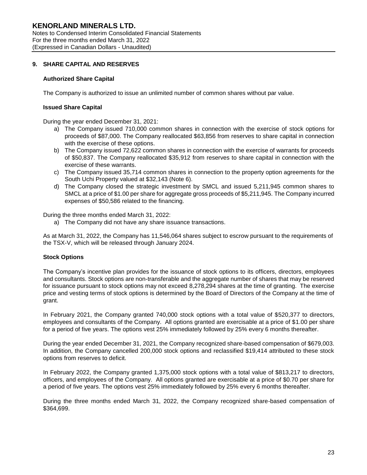# **9. SHARE CAPITAL AND RESERVES**

### **Authorized Share Capital**

The Company is authorized to issue an unlimited number of common shares without par value.

### **Issued Share Capital**

During the year ended December 31, 2021:

- a) The Company issued 710,000 common shares in connection with the exercise of stock options for proceeds of \$87,000. The Company reallocated \$63,856 from reserves to share capital in connection with the exercise of these options.
- b) The Company issued 72,622 common shares in connection with the exercise of warrants for proceeds of \$50,837. The Company reallocated \$35,912 from reserves to share capital in connection with the exercise of these warrants.
- c) The Company issued 35,714 common shares in connection to the property option agreements for the South Uchi Property valued at \$32,143 (Note 6).
- d) The Company closed the strategic investment by SMCL and issued 5,211,945 common shares to SMCL at a price of \$1.00 per share for aggregate gross proceeds of \$5,211,945. The Company incurred expenses of \$50,586 related to the financing.

During the three months ended March 31, 2022:

a) The Company did not have any share issuance transactions.

As at March 31, 2022, the Company has 11,546,064 shares subject to escrow pursuant to the requirements of the TSX-V, which will be released through January 2024.

### **Stock Options**

The Company's incentive plan provides for the issuance of stock options to its officers, directors, employees and consultants. Stock options are non-transferable and the aggregate number of shares that may be reserved for issuance pursuant to stock options may not exceed 8,278,294 shares at the time of granting. The exercise price and vesting terms of stock options is determined by the Board of Directors of the Company at the time of grant.

In February 2021, the Company granted 740,000 stock options with a total value of \$520,377 to directors, employees and consultants of the Company. All options granted are exercisable at a price of \$1.00 per share for a period of five years. The options vest 25% immediately followed by 25% every 6 months thereafter.

During the year ended December 31, 2021, the Company recognized share-based compensation of \$679,003. In addition, the Company cancelled 200,000 stock options and reclassified \$19,414 attributed to these stock options from reserves to deficit.

In February 2022, the Company granted 1,375,000 stock options with a total value of \$813,217 to directors, officers, and employees of the Company. All options granted are exercisable at a price of \$0.70 per share for a period of five years. The options vest 25% immediately followed by 25% every 6 months thereafter.

During the three months ended March 31, 2022, the Company recognized share-based compensation of \$364,699.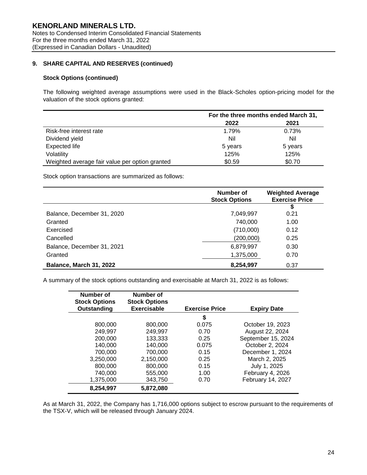# **9. SHARE CAPITAL AND RESERVES (continued)**

### **Stock Options (continued)**

The following weighted average assumptions were used in the Black-Scholes option-pricing model for the valuation of the stock options granted:

|                                                | For the three months ended March 31, |         |  |
|------------------------------------------------|--------------------------------------|---------|--|
|                                                | 2022                                 | 2021    |  |
| Risk-free interest rate                        | 1.79%                                | 0.73%   |  |
| Dividend yield                                 | Nil                                  | Nil     |  |
| <b>Expected life</b>                           | 5 years                              | 5 years |  |
| Volatility                                     | 125%                                 | 125%    |  |
| Weighted average fair value per option granted | \$0.59                               | \$0.70  |  |

Stock option transactions are summarized as follows:

|                                | Number of<br><b>Stock Options</b> | <b>Weighted Average</b><br><b>Exercise Price</b> |
|--------------------------------|-----------------------------------|--------------------------------------------------|
|                                |                                   | \$                                               |
| Balance, December 31, 2020     | 7,049,997                         | 0.21                                             |
| Granted                        | 740,000                           | 1.00                                             |
| Exercised                      | (710,000)                         | 0.12                                             |
| Cancelled                      | (200,000)                         | 0.25                                             |
| Balance, December 31, 2021     | 6,879,997                         | 0.30                                             |
| Granted                        | 1,375,000                         | 0.70                                             |
| <b>Balance, March 31, 2022</b> | 8,254,997                         | 0.37                                             |

A summary of the stock options outstanding and exercisable at March 31, 2022 is as follows:

| Number of<br><b>Stock Options</b><br>Outstanding | Number of<br><b>Stock Options</b><br>Exercisable | <b>Exercise Price</b> | <b>Expiry Date</b> |
|--------------------------------------------------|--------------------------------------------------|-----------------------|--------------------|
|                                                  |                                                  | \$                    |                    |
| 800,000                                          | 800,000                                          | 0.075                 | October 19, 2023   |
| 249,997                                          | 249,997                                          | 0.70                  | August 22, 2024    |
| 200,000                                          | 133,333                                          | 0.25                  | September 15, 2024 |
| 140.000                                          | 140,000                                          | 0.075                 | October 2, 2024    |
| 700,000                                          | 700,000                                          | 0.15                  | December 1, 2024   |
| 3.250.000                                        | 2,150,000                                        | 0.25                  | March 2, 2025      |
| 800,000                                          | 800,000                                          | 0.15                  | July 1, 2025       |
| 740.000                                          | 555,000                                          | 1.00                  | February 4, 2026   |
| 1,375,000                                        | 343,750                                          | 0.70                  | February 14, 2027  |
| 8,254,997                                        | 5,872,080                                        |                       |                    |

As at March 31, 2022, the Company has 1,716,000 options subject to escrow pursuant to the requirements of the TSX-V, which will be released through January 2024.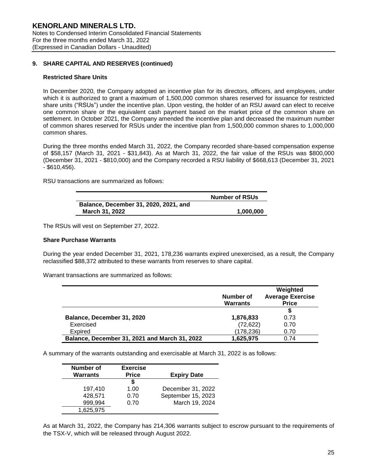# **9. SHARE CAPITAL AND RESERVES (continued)**

### **Restricted Share Units**

In December 2020, the Company adopted an incentive plan for its directors, officers, and employees, under which it is authorized to grant a maximum of 1,500,000 common shares reserved for issuance for restricted share units ("RSUs") under the incentive plan. Upon vesting, the holder of an RSU award can elect to receive one common share or the equivalent cash payment based on the market price of the common share on settlement. In October 2021, the Company amended the incentive plan and decreased the maximum number of common shares reserved for RSUs under the incentive plan from 1,500,000 common shares to 1,000,000 common shares.

During the three months ended March 31, 2022, the Company recorded share-based compensation expense of \$58,157 (March 31, 2021 - \$31,843). As at March 31, 2022, the fair value of the RSUs was \$800,000 (December 31, 2021 - \$810,000) and the Company recorded a RSU liability of \$668,613 (December 31, 2021 - \$610,456).

RSU transactions are summarized as follows:

|                                       | <b>Number of RSUs</b> |  |  |
|---------------------------------------|-----------------------|--|--|
| Balance, December 31, 2020, 2021, and |                       |  |  |
| March 31, 2022                        | 1.000.000             |  |  |

The RSUs will vest on September 27, 2022.

### **Share Purchase Warrants**

During the year ended December 31, 2021, 178,236 warrants expired unexercised, as a result, the Company reclassified \$88,372 attributed to these warrants from reserves to share capital.

Warrant transactions are summarized as follows:

|                                               | Number of<br><b>Warrants</b> | Weighted<br><b>Average Exercise</b><br><b>Price</b> |
|-----------------------------------------------|------------------------------|-----------------------------------------------------|
|                                               |                              |                                                     |
| Balance, December 31, 2020                    | 1,876,833                    | 0.73                                                |
| Exercised                                     | (72, 622)                    | 0.70                                                |
| Expired                                       | (178, 236)                   | 0.70                                                |
| Balance, December 31, 2021 and March 31, 2022 | 1,625,975                    | 0.74                                                |

A summary of the warrants outstanding and exercisable at March 31, 2022 is as follows:

| Number of       | <b>Exercise</b> |                    |
|-----------------|-----------------|--------------------|
| <b>Warrants</b> | <b>Price</b>    | <b>Expiry Date</b> |
|                 | S               |                    |
| 197.410         | 1.00            | December 31, 2022  |
| 428,571         | 0.70            | September 15, 2023 |
| 999,994         | 0.70            | March 19, 2024     |
| 1,625,975       |                 |                    |

As at March 31, 2022, the Company has 214,306 warrants subject to escrow pursuant to the requirements of the TSX-V, which will be released through August 2022.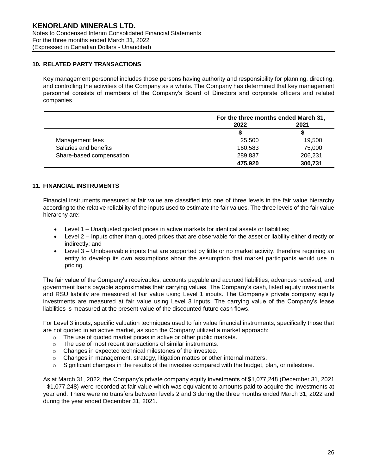# **10. RELATED PARTY TRANSACTIONS**

Key management personnel includes those persons having authority and responsibility for planning, directing, and controlling the activities of the Company as a whole. The Company has determined that key management personnel consists of members of the Company's Board of Directors and corporate officers and related companies.

|                          |         | For the three months ended March 31, |  |
|--------------------------|---------|--------------------------------------|--|
|                          | 2022    | 2021                                 |  |
|                          | S       | S                                    |  |
| Management fees          | 25,500  | 19,500                               |  |
| Salaries and benefits    | 160,583 | 75,000                               |  |
| Share-based compensation | 289,837 | 206,231                              |  |
|                          | 475,920 | 300,731                              |  |

# **11. FINANCIAL INSTRUMENTS**

Financial instruments measured at fair value are classified into one of three levels in the fair value hierarchy according to the relative reliability of the inputs used to estimate the fair values. The three levels of the fair value hierarchy are:

- Level 1 Unadjusted quoted prices in active markets for identical assets or liabilities;
- Level 2 Inputs other than quoted prices that are observable for the asset or liability either directly or indirectly; and
- Level 3 Unobservable inputs that are supported by little or no market activity, therefore requiring an entity to develop its own assumptions about the assumption that market participants would use in pricing.

The fair value of the Company's receivables, accounts payable and accrued liabilities, advances received, and government loans payable approximates their carrying values. The Company's cash, listed equity investments and RSU liability are measured at fair value using Level 1 inputs. The Company's private company equity investments are measured at fair value using Level 3 inputs. The carrying value of the Company's lease liabilities is measured at the present value of the discounted future cash flows.

For Level 3 inputs, specific valuation techniques used to fair value financial instruments, specifically those that are not quoted in an active market, as such the Company utilized a market approach:

- o The use of quoted market prices in active or other public markets.
- o The use of most recent transactions of similar instruments.
- o Changes in expected technical milestones of the investee.
- $\circ$  Changes in management, strategy, litigation mattes or other internal matters.
- $\circ$  Significant changes in the results of the investee compared with the budget, plan, or milestone.

As at March 31, 2022, the Company's private company equity investments of \$1,077,248 (December 31, 2021 - \$1,077,248) were recorded at fair value which was equivalent to amounts paid to acquire the investments at year end. There were no transfers between levels 2 and 3 during the three months ended March 31, 2022 and during the year ended December 31, 2021.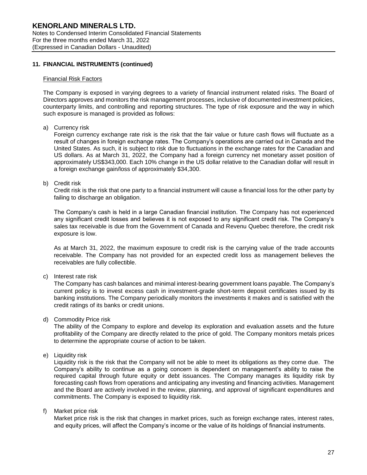# **11. FINANCIAL INSTRUMENTS (continued)**

#### Financial Risk Factors

The Company is exposed in varying degrees to a variety of financial instrument related risks. The Board of Directors approves and monitors the risk management processes, inclusive of documented investment policies, counterparty limits, and controlling and reporting structures. The type of risk exposure and the way in which such exposure is managed is provided as follows:

a) Currency risk

Foreign currency exchange rate risk is the risk that the fair value or future cash flows will fluctuate as a result of changes in foreign exchange rates. The Company's operations are carried out in Canada and the United States. As such, it is subject to risk due to fluctuations in the exchange rates for the Canadian and US dollars. As at March 31, 2022, the Company had a foreign currency net monetary asset position of approximately US\$343,000. Each 10% change in the US dollar relative to the Canadian dollar will result in a foreign exchange gain/loss of approximately \$34,300.

b) Credit risk

Credit risk is the risk that one party to a financial instrument will cause a financial loss for the other party by failing to discharge an obligation.

The Company's cash is held in a large Canadian financial institution. The Company has not experienced any significant credit losses and believes it is not exposed to any significant credit risk. The Company's sales tax receivable is due from the Government of Canada and Revenu Quebec therefore, the credit risk exposure is low.

As at March 31, 2022, the maximum exposure to credit risk is the carrying value of the trade accounts receivable. The Company has not provided for an expected credit loss as management believes the receivables are fully collectible.

c) Interest rate risk

The Company has cash balances and minimal interest-bearing government loans payable. The Company's current policy is to invest excess cash in investment-grade short-term deposit certificates issued by its banking institutions. The Company periodically monitors the investments it makes and is satisfied with the credit ratings of its banks or credit unions.

d) Commodity Price risk

The ability of the Company to explore and develop its exploration and evaluation assets and the future profitability of the Company are directly related to the price of gold. The Company monitors metals prices to determine the appropriate course of action to be taken.

e) Liquidity risk

Liquidity risk is the risk that the Company will not be able to meet its obligations as they come due. The Company's ability to continue as a going concern is dependent on management's ability to raise the required capital through future equity or debt issuances. The Company manages its liquidity risk by forecasting cash flows from operations and anticipating any investing and financing activities. Management and the Board are actively involved in the review, planning, and approval of significant expenditures and commitments. The Company is exposed to liquidity risk.

f) Market price risk

Market price risk is the risk that changes in market prices, such as foreign exchange rates, interest rates, and equity prices, will affect the Company's income or the value of its holdings of financial instruments.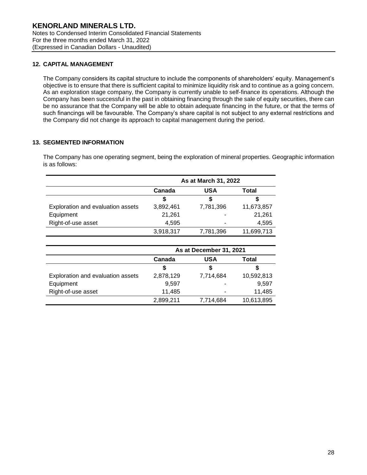# **12. CAPITAL MANAGEMENT**

The Company considers its capital structure to include the components of shareholders' equity. Management's objective is to ensure that there is sufficient capital to minimize liquidity risk and to continue as a going concern. As an exploration stage company, the Company is currently unable to self-finance its operations. Although the Company has been successful in the past in obtaining financing through the sale of equity securities, there can be no assurance that the Company will be able to obtain adequate financing in the future, or that the terms of such financings will be favourable. The Company's share capital is not subject to any external restrictions and the Company did not change its approach to capital management during the period.

# **13. SEGMENTED INFORMATION**

The Company has one operating segment, being the exploration of mineral properties. Geographic information is as follows:

|                                   | As at March 31, 2022 |            |            |
|-----------------------------------|----------------------|------------|------------|
|                                   | Canada               | <b>USA</b> | Total      |
|                                   | S                    |            |            |
| Exploration and evaluation assets | 3,892,461            | 7,781,396  | 11,673,857 |
| Equipment                         | 21,261               |            | 21,261     |
| Right-of-use asset                | 4.595                |            | 4,595      |
|                                   | 3,918,317            | 7,781,396  | 11,699,713 |

|                                   | As at December 31, 2021 |            |            |
|-----------------------------------|-------------------------|------------|------------|
|                                   | Canada                  | <b>USA</b> | Total      |
|                                   | S                       | S          |            |
| Exploration and evaluation assets | 2,878,129               | 7,714,684  | 10,592,813 |
| Equipment                         | 9.597                   | ۰          | 9.597      |
| Right-of-use asset                | 11,485                  | ۰          | 11,485     |
|                                   | 2,899,211               | 7,714,684  | 10,613,895 |